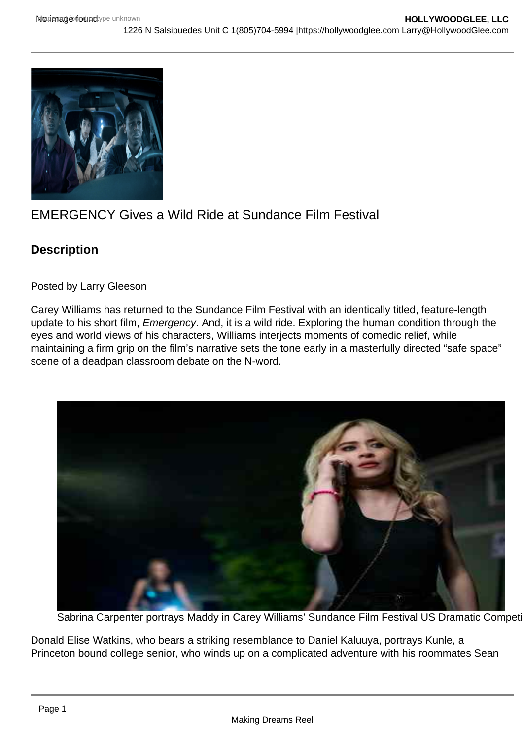## EMERGENCY Gives a Wild Ride at Sundance Film Festival

**Description** 

Posted by Larry Gleeson

Carey Williams has returned to the Sundance Film Festival with an identically titled, feature-length update to his short film, Emergency. And, it is a wild ride. Exploring the human condition through the eyes and world views of his characters, Williams interjects moments of comedic relief, while maintaining a firm grip on the film's narrative sets the tone early in a masterfully directed "safe space" scene of a deadpan classroom debate on the N-word.

Sabrina Carpenter portrays Maddy in Carey Williams' Sundance Film Festival US Dramatic Competition entry, EMERG

Donald Elise Watkins, who bears a striking resemblance to Daniel Kaluuya, portrays Kunle, a Princeton bound college senior, who winds up on a complicated adventure with his roommates Sean